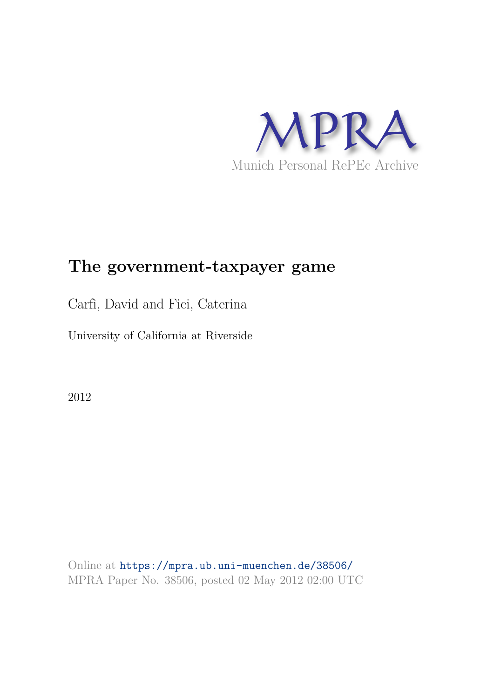

# **The government-taxpayer game**

Carfì, David and Fici, Caterina

University of California at Riverside

2012

Online at https://mpra.ub.uni-muenchen.de/38506/ MPRA Paper No. 38506, posted 02 May 2012 02:00 UTC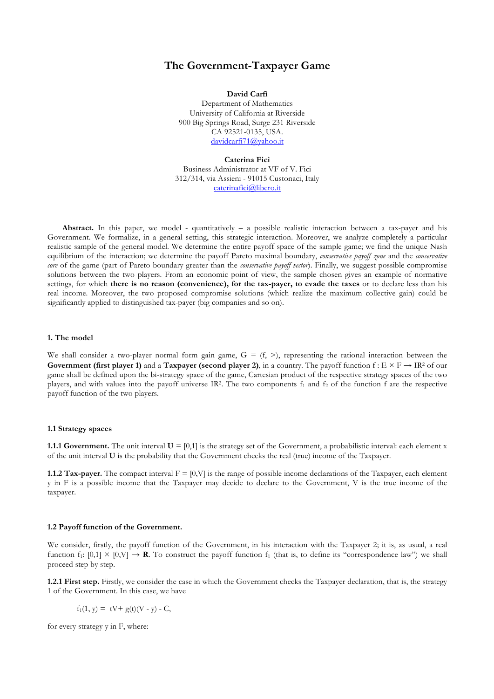## **The Government-Taxpayer Game**

**David Carfì** Department of Mathematics University of California at Riverside 900 Big Springs Road, Surge 231 Riverside CA 92521-0135, USA. davidcarfi71@yahoo.it

#### **Caterina Fici**

Business Administrator at VF of V. Fici 312/314, via Assieni - 91015 Custonaci, Italy caterinafici@libero.it

**Abstract.** In this paper, we model - quantitatively – a possible realistic interaction between a tax-payer and his Government. We formalize, in a general setting, this strategic interaction. Moreover, we analyze completely a particular realistic sample of the general model. We determine the entire payoff space of the sample game; we find the unique Nash equilibrium of the interaction; we determine the payoff Pareto maximal boundary, *conservative payoff zone* and the *conservative core* of the game (part of Pareto boundary greater than the *conservative payoff vector*). Finally, we suggest possible compromise solutions between the two players. From an economic point of view, the sample chosen gives an example of normative settings, for which **there is no reason (convenience), for the tax-payer, to evade the taxes** or to declare less than his real income. Moreover, the two proposed compromise solutions (which realize the maximum collective gain) could be significantly applied to distinguished tax-payer (big companies and so on).

#### **1. The model**

We shall consider a two-player normal form gain game,  $G = (f, >)$ , representing the rational interaction between the **Government (first player 1)** and a **Taxpayer (second player 2)**, in a country. The payoff function  $f: E \times F \rightarrow IR^2$  of our game shall be defined upon the bi-strategy space of the game, Cartesian product of the respective strategy spaces of the two players, and with values into the payoff universe IR<sup>2</sup>. The two components  $f_1$  and  $f_2$  of the function f are the respective payoff function of the two players.

#### **1.1 Strategy spaces**

**1.1.1 Government.** The unit interval  $U = [0,1]$  is the strategy set of the Government, a probabilistic interval: each element x of the unit interval **U** is the probability that the Government checks the real (true) income of the Taxpayer.

**1.1.2 Tax-payer.** The compact interval  $F = [0, V]$  is the range of possible income declarations of the Taxpayer, each element y in F is a possible income that the Taxpayer may decide to declare to the Government, V is the true income of the taxpayer.

#### **1.2 Payoff function of the Government.**

We consider, firstly, the payoff function of the Government, in his interaction with the Taxpayer 2; it is, as usual, a real function f<sub>1</sub>:  $[0.1] \times [0.\text{V}] \rightarrow \mathbb{R}$ . To construct the payoff function f<sub>1</sub> (that is, to define its "correspondence law") we shall proceed step by step.

**1.2.1 First step.** Firstly, we consider the case in which the Government checks the Taxpayer declaration, that is, the strategy 1 of the Government. In this case, we have

$$
f_1(1, y) = tV + g(t)(V - y) - C,
$$

for every strategy y in F, where: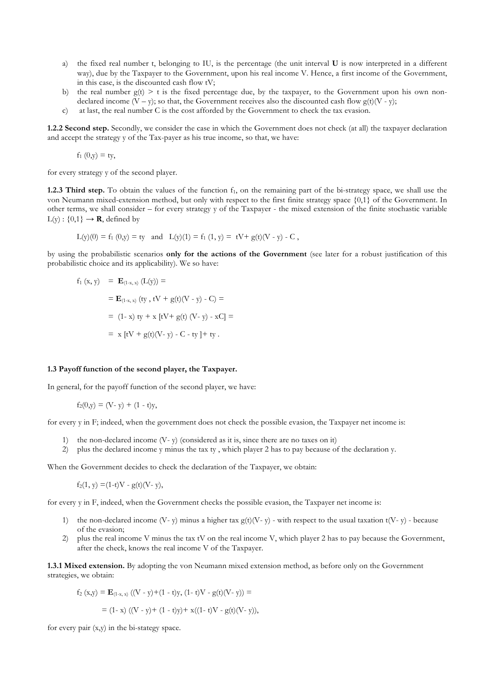- a) the fixed real number t, belonging to IU, is the percentage (the unit interval **U** is now interpreted in a different way), due by the Taxpayer to the Government, upon his real income V. Hence, a first income of the Government, in this case, is the discounted cash flow tV;
- b) the real number  $g(t) > t$  is the fixed percentage due, by the taxpayer, to the Government upon his own nondeclared income  $(V - y)$ ; so that, the Government receives also the discounted cash flow  $g(t)(V - y)$ ;
- c) at last, the real number C is the cost afforded by the Government to check the tax evasion.

**1.2.2 Second step.** Secondly, we consider the case in which the Government does not check (at all) the taxpayer declaration and accept the strategy y of the Tax-payer as his true income, so that, we have:

 $f_1(0,y) = ty$ ,

for every strategy y of the second player.

**1.2.3 Third step.** To obtain the values of the function f<sub>1</sub>, on the remaining part of the bi-strategy space, we shall use the von Neumann mixed-extension method, but only with respect to the first finite strategy space {0,1} of the Government. In other terms, we shall consider – for every strategy y of the Taxpayer - the mixed extension of the finite stochastic variable  $L(y)$ :  $\{0,1\} \rightarrow \mathbf{R}$ , defined by

$$
L(y)(0) = f_1(0,y) = ty \text{ and } L(y)(1) = f_1(1,y) = tV + g(t)(V - y) - C,
$$

by using the probabilistic scenarios **only for the actions of the Government** (see later for a robust justification of this probabilistic choice and its applicability). We so have:

$$
f_1(x, y) = \mathbf{E}_{(1-x, x)} (L(y)) =
$$
  
=  $\mathbf{E}_{(1-x, x)} (ty, tV + g(t)(V - y) - C) =$   
= (1-x) ty + x [tV + g(t) (V - y) - xC] =  
= x [tV + g(t)(V - y) - C - ty] + ty.

#### **1.3 Payoff function of the second player, the Taxpayer.**

In general, for the payoff function of the second player, we have:

$$
f_2(0,y) = (V - y) + (1 - t)y,
$$

for every y in F; indeed, when the government does not check the possible evasion, the Taxpayer net income is:

- 1) the non-declared income (V- y) (considered as it is, since there are no taxes on it)
- 2) plus the declared income y minus the tax ty , which player 2 has to pay because of the declaration y.

When the Government decides to check the declaration of the Taxpayer, we obtain:

 $f_2(1, y) = (1-t)V - g(t)(V - y),$ 

for every y in F, indeed, when the Government checks the possible evasion, the Taxpayer net income is:

- 1) the non-declared income (V- y) minus a higher tax  $g(t)(V-v)$  with respect to the usual taxation  $t(V-v)$  because of the evasion;
- 2) plus the real income V minus the tax tV on the real income V, which player 2 has to pay because the Government, after the check, knows the real income V of the Taxpayer.

**1.3.1 Mixed extension.** By adopting the von Neumann mixed extension method, as before only on the Government strategies, we obtain:

$$
f_2(x,y) = \mathbf{E}_{(1-x, x)} ((V - y) + (1 - t)y, (1 - t)V - g(t)(V - y)) =
$$
  
= (1 - x) ((V - y) + (1 - t)y) + x((1 - t)V - g(t)(V - y)),

for every pair (x,y) in the bi-stategy space.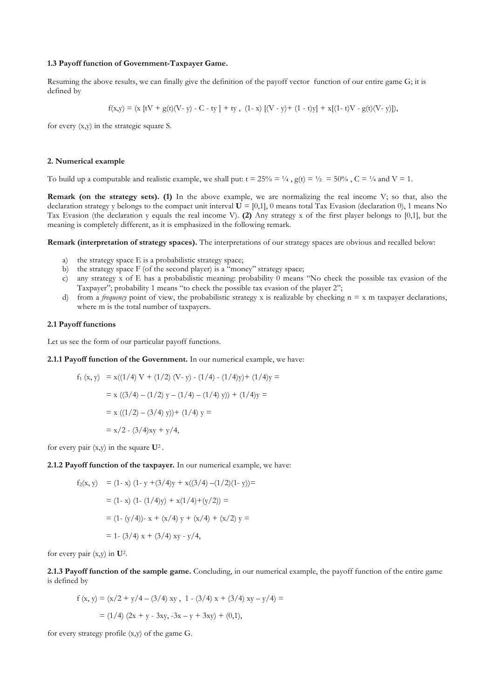#### **1.3 Payoff function of Government-Taxpayer Game.**

Resuming the above results, we can finally give the definition of the payoff vector function of our entire game G; it is defined by

$$
f(x,y) = (x [tV + g(t)(V - y) - C - ty] + ty, (1-x) [(V - y) + (1 - t)y] + x[(1-t)V - g(t)(V - y)]),
$$

for every (x,y) in the strategic square S.

#### **2. Numerical example**

To build up a computable and realistic example, we shall put:  $t = 25\% = \frac{1}{4}$ ,  $g(t) = \frac{1}{2} = 50\%$ ,  $C = \frac{1}{4}$  and  $V = 1$ .

**Remark (on the strategy sets). (1)** In the above example, we are normalizing the real income V; so that, also the declaration strategy y belongs to the compact unit interval  $\vec{U} = [0,1]$ , 0 means total Tax Evasion (declaration 0), 1 means No Tax Evasion (the declaration y equals the real income V). **(2)** Any strategy x of the first player belongs to [0,1], but the meaning is completely different, as it is emphasized in the following remark.

**Remark (interpretation of strategy spaces).** The interpretations of our strategy spaces are obvious and recalled below:

- a) the strategy space E is a probabilistic strategy space;
- b) the strategy space  $F$  (of the second player) is a "money" strategy space;
- c) any strategy x of E has a probabilistic meaning: probability  $\ddot{0}$  means "No check the possible tax evasion of the Taxpayer"; probability 1 means "to check the possible tax evasion of the player 2";
- d) from a *frequency* point of view, the probabilistic strategy x is realizable by checking  $n = x$  m taxpayer declarations, where m is the total number of taxpayers.

## **2.1 Payoff functions**

Let us see the form of our particular payoff functions.

**2.1.1 Payoff function of the Government.** In our numerical example, we have:

$$
f_1(x, y) = x((1/4) V + (1/2) (V - y) - (1/4) - (1/4)y) + (1/4)y =
$$
  
= x ((3/4) - (1/2) y - (1/4) - (1/4) y)) + (1/4)y =  
= x ((1/2) - (3/4) y)) + (1/4) y =  
= x/2 - (3/4)xy + y/4,

for every pair (x,y) in the square **U**<sup>2</sup> .

**2.1.2 Payoff function of the taxpayer.** In our numerical example, we have:

$$
f_2(x, y) = (1 - x) (1 - y + (3/4)y + x((3/4) - (1/2)(1 - y))) =
$$
  
= (1 - x) (1 - (1/4)y) + x(1/4) + (y/2)) =  
= (1 - (y/4)) - x + (x/4) y + (x/4) + (x/2) y =  
= 1 - (3/4) x + (3/4) xy - y/4,

for every pair (x,y) in **U**<sup>2</sup> .

**2.1.3 Payoff function of the sample game.** Concluding, in our numerical example, the payoff function of the entire game is defined by

$$
f(x, y) = (x/2 + y/4 - (3/4) xy, 1 - (3/4) x + (3/4) xy - y/4) =
$$
  
= (1/4) (2x + y - 3xy, -3x - y + 3xy) + (0,1),

for every strategy profile (x,y) of the game G.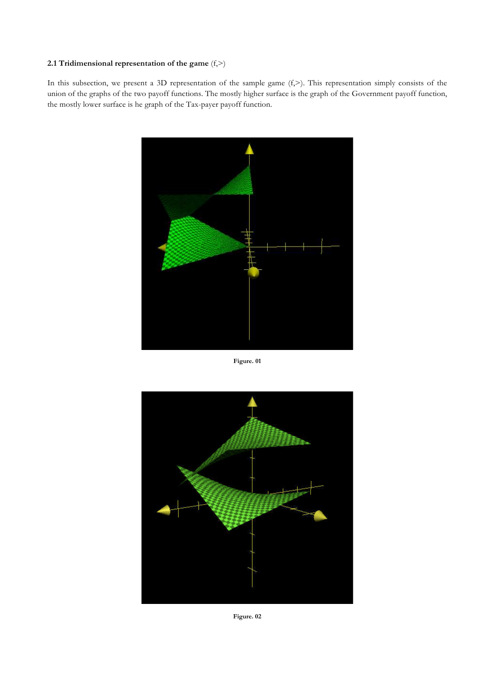## **2.1 Tridimensional representation of the game** (f,>)

In this subsection, we present a 3D representation of the sample game  $(f,>)$ . This representation simply consists of the union of the graphs of the two payoff functions. The mostly higher surface is the graph of the Government payoff function, the mostly lower surface is he graph of the Tax-payer payoff function.



**Figure. 01**



**Figure. 02**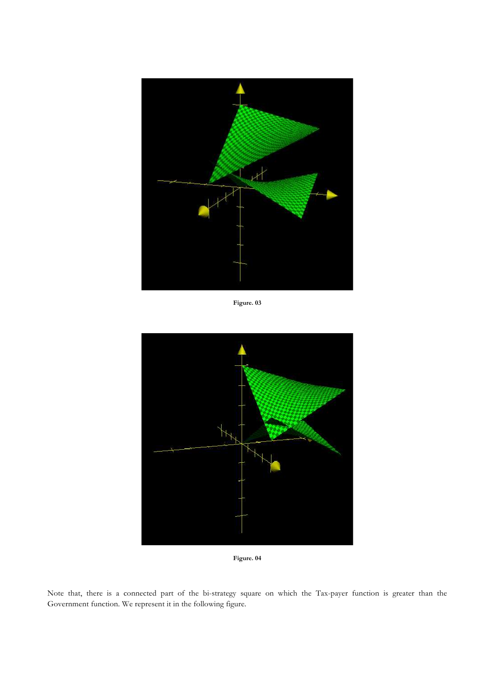

**Figure. 03**



**Figure. 04**

Note that, there is a connected part of the bi-strategy square on which the Tax-payer function is greater than the Government function. We represent it in the following figure.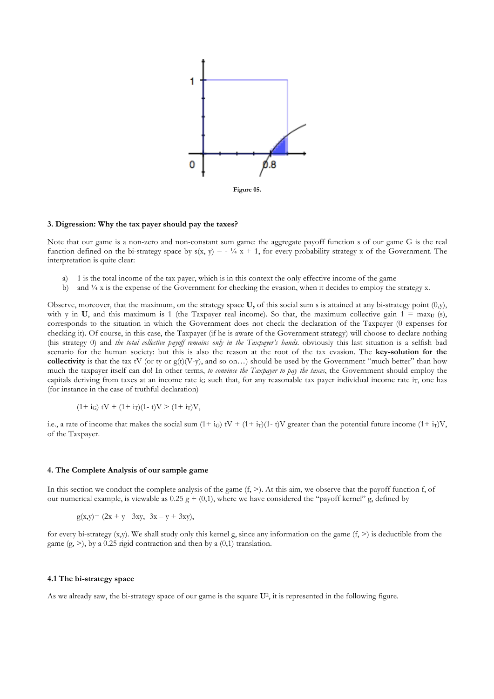

#### **3. Digression: Why the tax payer should pay the taxes?**

Note that our game is a non-zero and non-constant sum game: the aggregate payoff function s of our game G is the real function defined on the bi-strategy space by  $s(x, y) = -\frac{1}{4}x + 1$ , for every probability strategy x of the Government. The interpretation is quite clear:

- a) 1 is the total income of the tax payer, which is in this context the only effective income of the game
- b) and  $\frac{1}{4}x$  is the expense of the Government for checking the evasion, when it decides to employ the strategy x.

Observe, moreover, that the maximum, on the strategy space **U,** of this social sum s is attained at any bi-strategy point (0,y), with y in **U**, and this maximum is 1 (the Taxpayer real income). So that, the maximum collective gain  $1 = \max_{U} (s)$ , corresponds to the situation in which the Government does not check the declaration of the Taxpayer (0 expenses for checking it). Of course, in this case, the Taxpayer (if he is aware of the Government strategy) will choose to declare nothing (his strategy 0) and *the total collective payoff remains only in the Taxpayer's hands*. obviously this last situation is a selfish bad scenario for the human society: but this is also the reason at the root of the tax evasion. The **key-solution for the collectivity** is that the tax tV (or ty or  $g(t)(V-y)$ , and so on...) should be used by the Government "much better" than how much the taxpayer itself can do! In other terms, *to convince the Taxpayer to pay the taxes*, the Government should employ the capitals deriving from taxes at an income rate  $i_G$  such that, for any reasonable tax payer individual income rate  $i_T$ , one has (for instance in the case of truthful declaration)

 $(1 + i_G)$  tV +  $(1 + i_T)(1 - t)$ V >  $(1 + i_T)V$ ,

i.e., a rate of income that makes the social sum  $(1 + i_G)$  tV +  $(1 + i_T)(1 - t)$ V greater than the potential future income  $(1 + i_T)V$ , of the Taxpayer.

#### **4. The Complete Analysis of our sample game**

In this section we conduct the complete analysis of the game  $(f, \geq)$ . At this aim, we observe that the payoff function f, of our numerical example, is viewable as  $0.25 g + (0,1)$ , where we have considered the "payoff kernel" g, defined by

 $g(x,y) = (2x + y - 3xy, -3x - y + 3xy),$ 

for every bi-strategy  $(x,y)$ . We shall study only this kernel g, since any information on the game  $(f, >)$  is deductible from the game  $(g, >)$ , by a 0.25 rigid contraction and then by a  $(0,1)$  translation.

## **4.1 The bi-strategy space**

As we already saw, the bi-strategy space of our game is the square **U**<sup>2</sup> , it is represented in the following figure.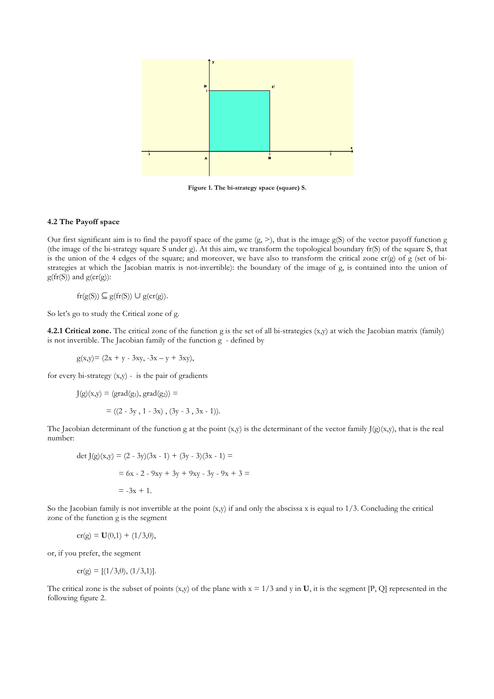

**Figure 1. The bi-strategy space (square) S.** 

## **4.2 The Payoff space**

Our first significant aim is to find the payoff space of the game (g, >), that is the image g(S) of the vector payoff function g (the image of the bi-strategy square S under g). At this aim, we transform the topological boundary fr(S) of the square S, that is the union of the 4 edges of the square; and moreover, we have also to transform the critical zone  $cr(g)$  of g (set of bistrategies at which the Jacobian matrix is not-invertible): the boundary of the image of g, is contained into the union of  $g(fr(S))$  and  $g(cr(g))$ :

 $fr(g(S)) \subseteq g(fr(S)) \cup g(cr(g)).$ 

So let's go to study the Critical zone of g.

**4.2.1 Critical zone.** The critical zone of the function g is the set of all bi-strategies (x,y) at wich the Jacobian matrix (family) is not invertible. The Jacobian family of the function g - defined by

 $g(x,y) = (2x + y - 3xy, -3x - y + 3xy),$ 

for every bi-strategy (x,y) - is the pair of gradients

$$
J(g)(x,y) = (grad(g1), grad(g2)) =
$$
  
= ((2 - 3y, 1 - 3x), (3y - 3, 3x - 1)).

The Jacobian determinant of the function g at the point  $(x,y)$  is the determinant of the vector family J $(g)(x,y)$ , that is the real number:

$$
det J(g)(x,y) = (2 - 3y)(3x - 1) + (3y - 3)(3x - 1) =
$$
  
= 6x - 2 - 9xy + 3y + 9xy - 3y - 9x + 3 =  
= -3x + 1.

So the Jacobian family is not invertible at the point  $(x,y)$  if and only the abscissa x is equal to  $1/3$ . Concluding the critical zone of the function g is the segment

$$
cr(g) = U(0,1) + (1/3,0),
$$

or, if you prefer, the segment

$$
cr(g) = [(1/3,0), (1/3,1)].
$$

The critical zone is the subset of points  $(x,y)$  of the plane with  $x = 1/3$  and y in **U**, it is the segment [P, Q] represented in the following figure 2.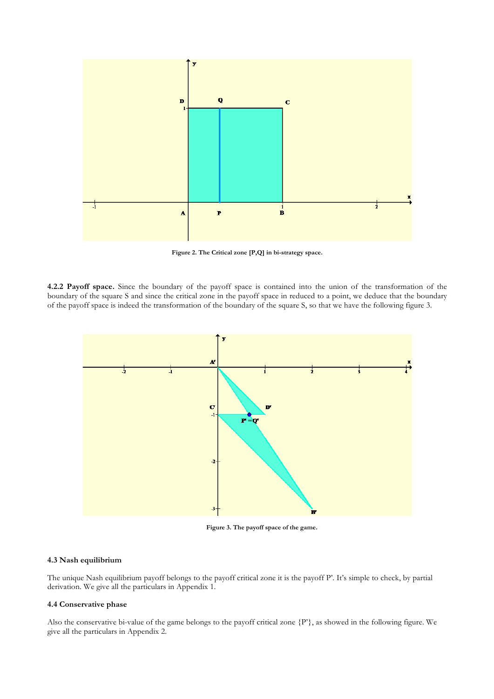

**Figure 2. The Critical zone [P,Q] in bi-strategy space.**

**4.2.2 Payoff space.** Since the boundary of the payoff space is contained into the union of the transformation of the boundary of the square S and since the critical zone in the payoff space in reduced to a point, we deduce that the boundary of the payoff space is indeed the transformation of the boundary of the square S, so that we have the following figure 3.



**Figure 3. The payoff space of the game.**

## **4.3 Nash equilibrium**

The unique Nash equilibrium payoff belongs to the payoff critical zone it is the payoff P'. It's simple to check, by partial derivation. We give all the particulars in Appendix 1.

## **4.4 Conservative phase**

Also the conservative bi-value of the game belongs to the payoff critical zone {P'}, as showed in the following figure. We give all the particulars in Appendix 2.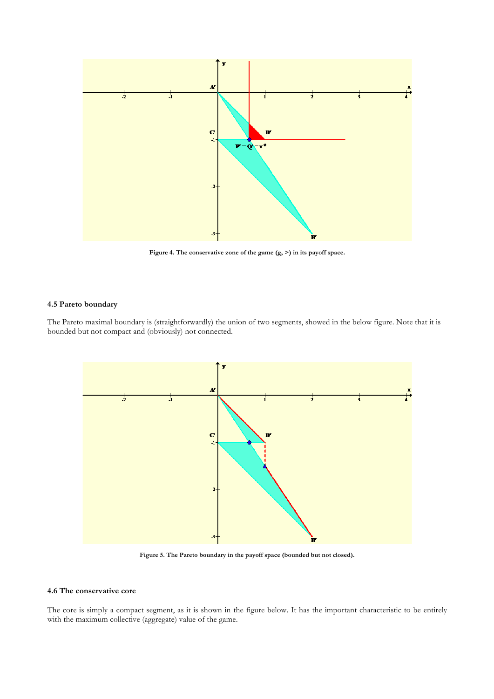

**Figure 4. The conservative zone of the game (g, >) in its payoff space.**

## **4.5 Pareto boundary**

The Pareto maximal boundary is (straightforwardly) the union of two segments, showed in the below figure. Note that it is bounded but not compact and (obviously) not connected.



**Figure 5. The Pareto boundary in the payoff space (bounded but not closed).** 

## **4.6 The conservative core**

The core is simply a compact segment, as it is shown in the figure below. It has the important characteristic to be entirely with the maximum collective (aggregate) value of the game.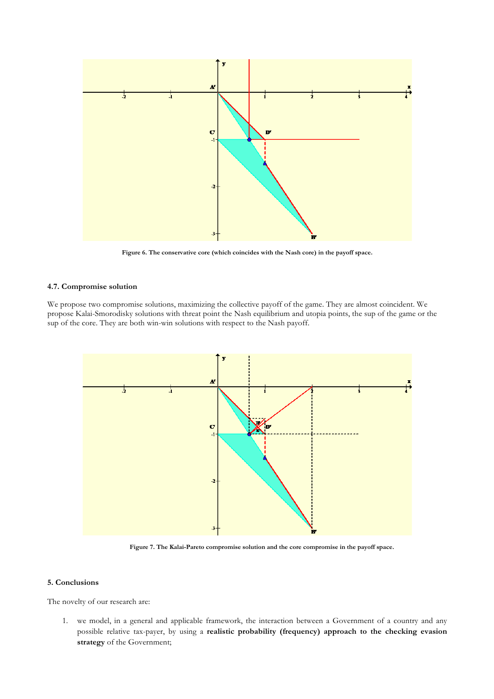

**Figure 6. The conservative core (which coincides with the Nash core) in the payoff space.** 

## **4.7. Compromise solution**

We propose two compromise solutions, maximizing the collective payoff of the game. They are almost coincident. We propose Kalai-Smorodisky solutions with threat point the Nash equilibrium and utopia points, the sup of the game or the sup of the core. They are both win-win solutions with respect to the Nash payoff.



**Figure 7. The Kalai-Pareto compromise solution and the core compromise in the payoff space.**

## **5. Conclusions**

The novelty of our research are:

1. we model, in a general and applicable framework, the interaction between a Government of a country and any possible relative tax-payer, by using a **realistic probability (frequency) approach to the checking evasion strategy** of the Government;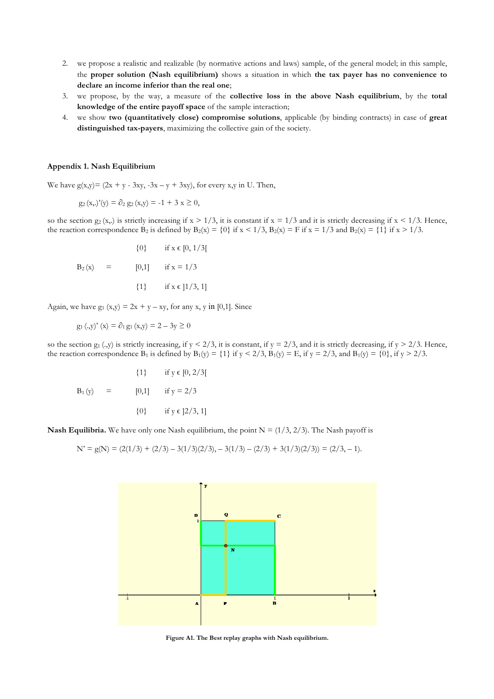- 2. we propose a realistic and realizable (by normative actions and laws) sample, of the general model; in this sample, the **proper solution (Nash equilibrium)** shows a situation in which **the tax payer has no convenience to declare an income inferior than the real one**;
- 3. we propose, by the way, a measure of the **collective loss in the above Nash equilibrium**, by the **total knowledge of the entire payoff space** of the sample interaction;
- 4. we show **two (quantitatively close) compromise solutions**, applicable (by binding contracts) in case of **great distinguished tax-payers**, maximizing the collective gain of the society.

#### **Appendix 1. Nash Equilibrium**

We have  $g(x,y) = (2x + y - 3xy, -3x - y + 3xy)$ , for every x,y in U. Then,

$$
g_2(x, y)(y) = \partial_2 g_2(x, y) = -1 + 3 x \ge 0,
$$

so the section  $g_2(x,.)$  is strictly increasing if  $x > 1/3$ , it is constant if  $x = 1/3$  and it is strictly decreasing if  $x < 1/3$ . Hence, the reaction correspondence B<sub>2</sub> is defined by  $B_2(x) = \{0\}$  if  $x < 1/3$ ,  $B_2(x) = F$  if  $x = 1/3$  and  $B_2(x) = \{1\}$  if  $x > 1/3$ .

$$
\{0\} \quad \text{if } x \in [0, 1/3[
$$
  
B<sub>2</sub>(x) = [0,1] \quad \text{if } x = 1/3  

$$
\{1\} \quad \text{if } x \in [1/3, 1]
$$

Again, we have  $g_1(x,y) = 2x + y - xy$ , for any x, y in [0,1]. Since

$$
g_1(.y)
$$
° (x) =  $\partial_1 g_1(x,y) = 2 - 3y \ge 0$ 

so the section  $g_1$  (.,y) is strictly increasing, if  $y < 2/3$ , it is constant, if  $y = 2/3$ , and it is strictly decreasing, if  $y > 2/3$ . Hence, the reaction correspondence B<sub>1</sub> is defined by B<sub>1</sub>(y) = {1} if y < 2/3, B<sub>1</sub>(y) = E, if y = 2/3, and B<sub>1</sub>(y) = {0}, if y > 2/3.

$$
\{1\} \quad \text{if } y \in [0, 2/3[
$$
  
B<sub>1</sub>(y) = [0,1] \quad \text{if } y = 2/3  

$$
\{0\} \quad \text{if } y \in [2/3, 1]
$$

**Nash Equilibria.** We have only one Nash equilibrium, the point  $N = (1/3, 2/3)$ . The Nash payoff is

$$
N' = g(N) = (2(1/3) + (2/3) - 3(1/3)(2/3), -3(1/3) - (2/3) + 3(1/3)(2/3)) = (2/3, -1).
$$



**Figure A1. The Best replay graphs with Nash equilibrium.**